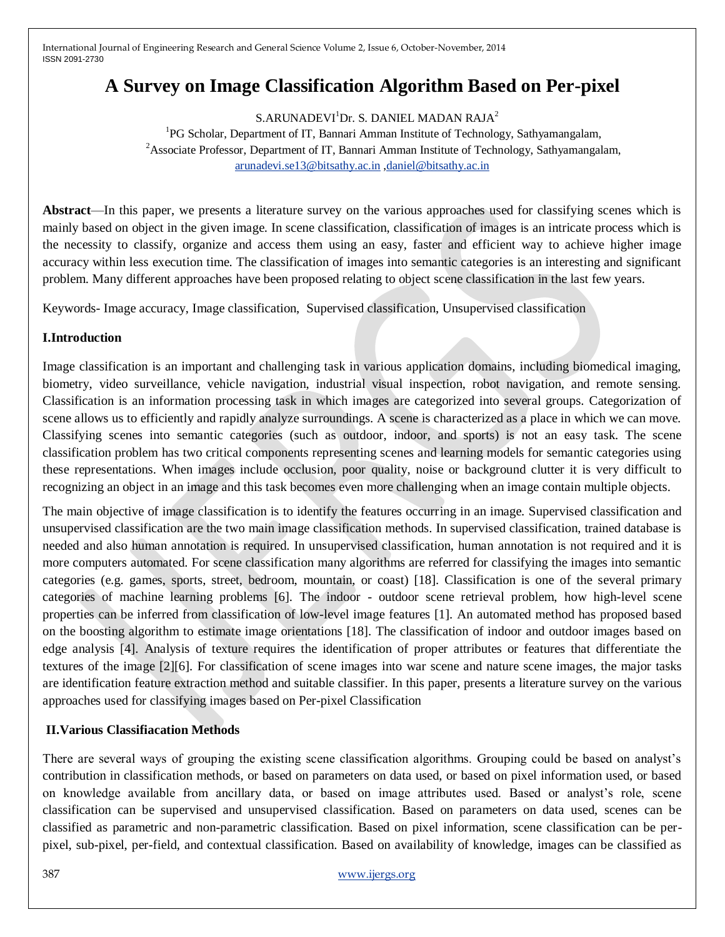# **A Survey on Image Classification Algorithm Based on Per-pixel**

S.ARUNADEVI<sup>1</sup>Dr. S. DANIEL MADAN RAJA<sup>2</sup> <sup>1</sup>PG Scholar, Department of IT, Bannari Amman Institute of Technology, Sathyamangalam, <sup>2</sup>Associate Professor, Department of IT, Bannari Amman Institute of Technology, Sathyamangalam, [arunadevi.se13@bitsathy.ac.in](mailto:arunadevi.se13@bitsathy.ac.in) [,daniel@bitsathy.ac.in](mailto:daniel@bitsathy.ac.in)

**Abstract**—In this paper, we presents a literature survey on the various approaches used for classifying scenes which is mainly based on object in the given image. In scene classification, classification of images is an intricate process which is the necessity to classify, organize and access them using an easy, faster and efficient way to achieve higher image accuracy within less execution time. The classification of images into semantic categories is an interesting and significant problem. Many different approaches have been proposed relating to object scene classification in the last few years.

Keywords- Image accuracy, Image classification, Supervised classification, Unsupervised classification

#### **I.Introduction**

Image classification is an important and challenging task in various application domains, including biomedical imaging, biometry, video surveillance, vehicle navigation, industrial visual inspection, robot navigation, and remote sensing. Classification is an information processing task in which images are categorized into several groups. Categorization of scene allows us to efficiently and rapidly analyze surroundings. A scene is characterized as a place in which we can move. Classifying scenes into semantic categories (such as outdoor, indoor, and sports) is not an easy task. The scene classification problem has two critical components representing scenes and learning models for semantic categories using these representations. When images include occlusion, poor quality, noise or background clutter it is very difficult to recognizing an object in an image and this task becomes even more challenging when an image contain multiple objects.

The main objective of image classification is to identify the features occurring in an image. Supervised classification and unsupervised classification are the two main image classification methods. In supervised classification, trained database is needed and also human annotation is required. In unsupervised classification, human annotation is not required and it is more computers automated. For scene classification many algorithms are referred for classifying the images into semantic categories (e.g. games, sports, street, bedroom, mountain, or coast) [18]. Classification is one of the several primary categories of machine learning problems [6]. The indoor - outdoor scene retrieval problem, how high-level scene properties can be inferred from classification of low-level image features [1]. An automated method has proposed based on the boosting algorithm to estimate image orientations [18]. The classification of indoor and outdoor images based on edge analysis [4]. Analysis of texture requires the identification of proper attributes or features that differentiate the textures of the image [2][6]. For classification of scene images into war scene and nature scene images, the major tasks are identification feature extraction method and suitable classifier. In this paper, presents a literature survey on the various approaches used for classifying images based on Per-pixel Classification

# **II.Various Classifiacation Methods**

There are several ways of grouping the existing scene classification algorithms. Grouping could be based on analyst's contribution in classification methods, or based on parameters on data used, or based on pixel information used, or based on knowledge available from ancillary data, or based on image attributes used. Based or analyst's role, scene classification can be supervised and unsupervised classification. Based on parameters on data used, scenes can be classified as parametric and non-parametric classification. Based on pixel information, scene classification can be perpixel, sub-pixel, per-field, and contextual classification. Based on availability of knowledge, images can be classified as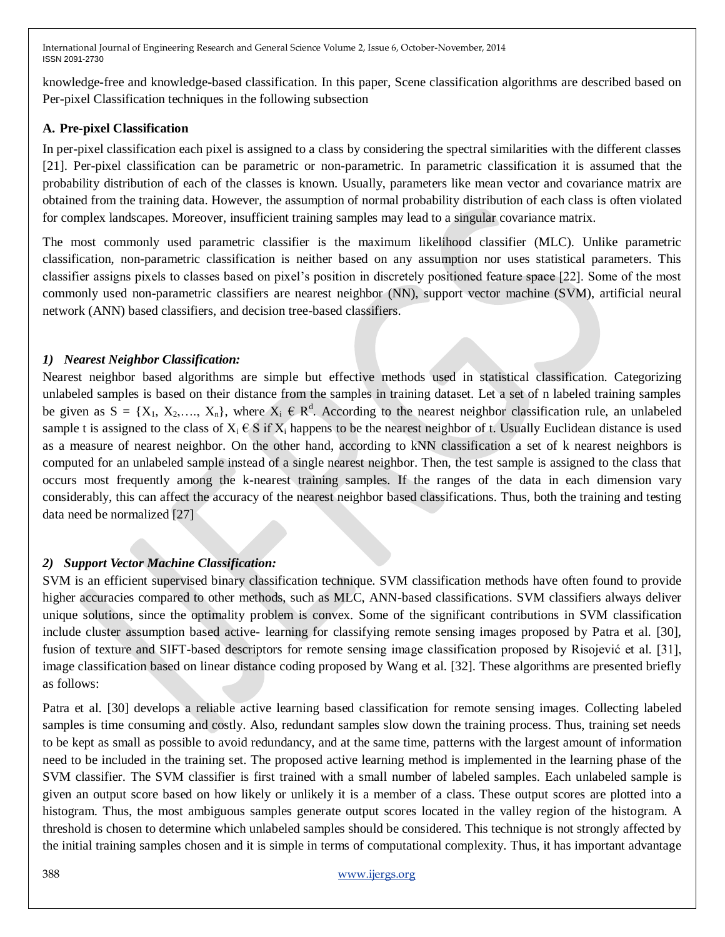knowledge-free and knowledge-based classification. In this paper, Scene classification algorithms are described based on Per-pixel Classification techniques in the following subsection

## **A. Pre-pixel Classification**

In per-pixel classification each pixel is assigned to a class by considering the spectral similarities with the different classes [21]. Per-pixel classification can be parametric or non-parametric. In parametric classification it is assumed that the probability distribution of each of the classes is known. Usually, parameters like mean vector and covariance matrix are obtained from the training data. However, the assumption of normal probability distribution of each class is often violated for complex landscapes. Moreover, insufficient training samples may lead to a singular covariance matrix.

The most commonly used parametric classifier is the maximum likelihood classifier (MLC). Unlike parametric classification, non-parametric classification is neither based on any assumption nor uses statistical parameters. This classifier assigns pixels to classes based on pixel's position in discretely positioned feature space [22]. Some of the most commonly used non-parametric classifiers are nearest neighbor (NN), support vector machine (SVM), artificial neural network (ANN) based classifiers, and decision tree-based classifiers.

#### *1) Nearest Neighbor Classification:*

Nearest neighbor based algorithms are simple but effective methods used in statistical classification. Categorizing unlabeled samples is based on their distance from the samples in training dataset. Let a set of n labeled training samples be given as  $S = \{X_1, X_2, \ldots, X_n\}$ , where  $X_i \in \mathbb{R}^d$ . According to the nearest neighbor classification rule, an unlabeled sample t is assigned to the class of  $X_i \in S$  if  $X_i$  happens to be the nearest neighbor of t. Usually Euclidean distance is used as a measure of nearest neighbor. On the other hand, according to kNN classification a set of k nearest neighbors is computed for an unlabeled sample instead of a single nearest neighbor. Then, the test sample is assigned to the class that occurs most frequently among the k-nearest training samples. If the ranges of the data in each dimension vary considerably, this can affect the accuracy of the nearest neighbor based classifications. Thus, both the training and testing data need be normalized [27]

## *2) Support Vector Machine Classification:*

SVM is an efficient supervised binary classification technique. SVM classification methods have often found to provide higher accuracies compared to other methods, such as MLC, ANN-based classifications. SVM classifiers always deliver unique solutions, since the optimality problem is convex. Some of the significant contributions in SVM classification include cluster assumption based active- learning for classifying remote sensing images proposed by Patra et al. [30], fusion of texture and SIFT-based descriptors for remote sensing image classification proposed by Risojević et al. [31], image classification based on linear distance coding proposed by Wang et al. [32]. These algorithms are presented briefly as follows:

Patra et al. [30] develops a reliable active learning based classification for remote sensing images. Collecting labeled samples is time consuming and costly. Also, redundant samples slow down the training process. Thus, training set needs to be kept as small as possible to avoid redundancy, and at the same time, patterns with the largest amount of information need to be included in the training set. The proposed active learning method is implemented in the learning phase of the SVM classifier. The SVM classifier is first trained with a small number of labeled samples. Each unlabeled sample is given an output score based on how likely or unlikely it is a member of a class. These output scores are plotted into a histogram. Thus, the most ambiguous samples generate output scores located in the valley region of the histogram. A threshold is chosen to determine which unlabeled samples should be considered. This technique is not strongly affected by the initial training samples chosen and it is simple in terms of computational complexity. Thus, it has important advantage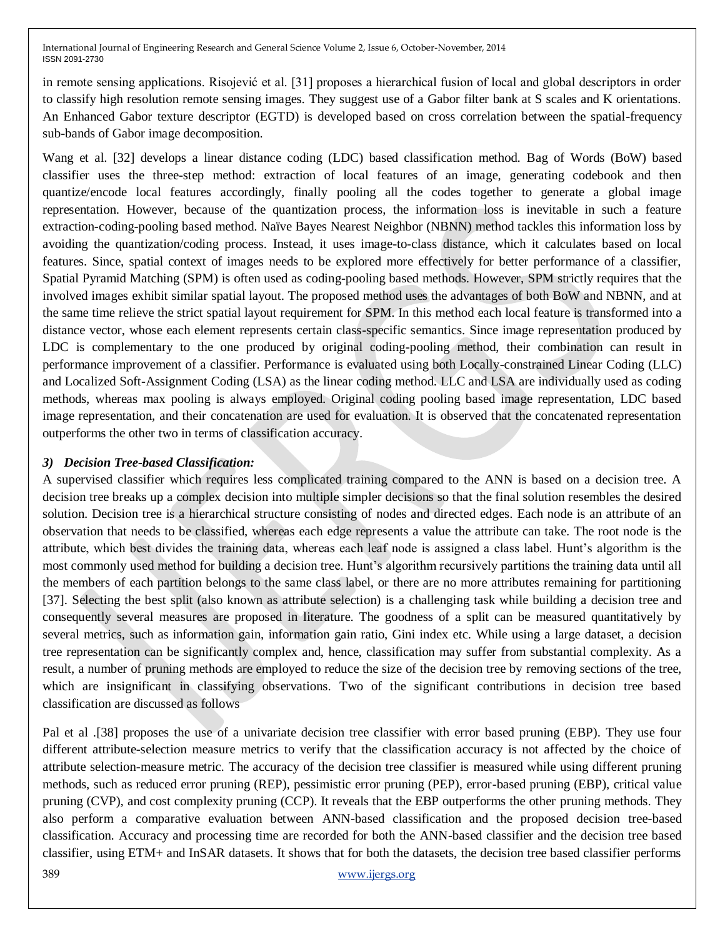in remote sensing applications. Risojević et al. [31] proposes a hierarchical fusion of local and global descriptors in order to classify high resolution remote sensing images. They suggest use of a Gabor filter bank at S scales and K orientations. An Enhanced Gabor texture descriptor (EGTD) is developed based on cross correlation between the spatial-frequency sub-bands of Gabor image decomposition.

Wang et al. [32] develops a linear distance coding (LDC) based classification method. Bag of Words (BoW) based classifier uses the three-step method: extraction of local features of an image, generating codebook and then quantize/encode local features accordingly, finally pooling all the codes together to generate a global image representation. However, because of the quantization process, the information loss is inevitable in such a feature extraction-coding-pooling based method. Naïve Bayes Nearest Neighbor (NBNN) method tackles this information loss by avoiding the quantization/coding process. Instead, it uses image-to-class distance, which it calculates based on local features. Since, spatial context of images needs to be explored more effectively for better performance of a classifier, Spatial Pyramid Matching (SPM) is often used as coding-pooling based methods. However, SPM strictly requires that the involved images exhibit similar spatial layout. The proposed method uses the advantages of both BoW and NBNN, and at the same time relieve the strict spatial layout requirement for SPM. In this method each local feature is transformed into a distance vector, whose each element represents certain class-specific semantics. Since image representation produced by LDC is complementary to the one produced by original coding-pooling method, their combination can result in performance improvement of a classifier. Performance is evaluated using both Locally-constrained Linear Coding (LLC) and Localized Soft-Assignment Coding (LSA) as the linear coding method. LLC and LSA are individually used as coding methods, whereas max pooling is always employed. Original coding pooling based image representation, LDC based image representation, and their concatenation are used for evaluation. It is observed that the concatenated representation outperforms the other two in terms of classification accuracy.

## *3) Decision Tree-based Classification:*

A supervised classifier which requires less complicated training compared to the ANN is based on a decision tree. A decision tree breaks up a complex decision into multiple simpler decisions so that the final solution resembles the desired solution. Decision tree is a hierarchical structure consisting of nodes and directed edges. Each node is an attribute of an observation that needs to be classified, whereas each edge represents a value the attribute can take. The root node is the attribute, which best divides the training data, whereas each leaf node is assigned a class label. Hunt's algorithm is the most commonly used method for building a decision tree. Hunt's algorithm recursively partitions the training data until all the members of each partition belongs to the same class label, or there are no more attributes remaining for partitioning [37]. Selecting the best split (also known as attribute selection) is a challenging task while building a decision tree and consequently several measures are proposed in literature. The goodness of a split can be measured quantitatively by several metrics, such as information gain, information gain ratio, Gini index etc. While using a large dataset, a decision tree representation can be significantly complex and, hence, classification may suffer from substantial complexity. As a result, a number of pruning methods are employed to reduce the size of the decision tree by removing sections of the tree, which are insignificant in classifying observations. Two of the significant contributions in decision tree based classification are discussed as follows

Pal et al .[38] proposes the use of a univariate decision tree classifier with error based pruning (EBP). They use four different attribute-selection measure metrics to verify that the classification accuracy is not affected by the choice of attribute selection-measure metric. The accuracy of the decision tree classifier is measured while using different pruning methods, such as reduced error pruning (REP), pessimistic error pruning (PEP), error-based pruning (EBP), critical value pruning (CVP), and cost complexity pruning (CCP). It reveals that the EBP outperforms the other pruning methods. They also perform a comparative evaluation between ANN-based classification and the proposed decision tree-based classification. Accuracy and processing time are recorded for both the ANN-based classifier and the decision tree based classifier, using ETM+ and InSAR datasets. It shows that for both the datasets, the decision tree based classifier performs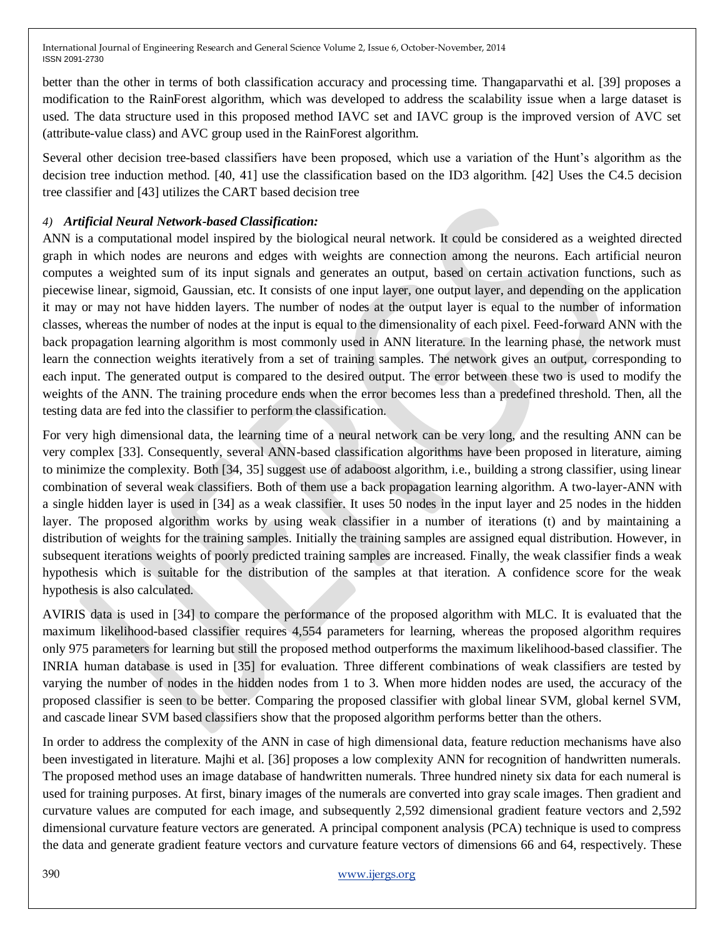better than the other in terms of both classification accuracy and processing time. Thangaparvathi et al. [39] proposes a modification to the RainForest algorithm, which was developed to address the scalability issue when a large dataset is used. The data structure used in this proposed method IAVC set and IAVC group is the improved version of AVC set (attribute-value class) and AVC group used in the RainForest algorithm.

Several other decision tree-based classifiers have been proposed, which use a variation of the Hunt's algorithm as the decision tree induction method. [40, 41] use the classification based on the ID3 algorithm. [42] Uses the C4.5 decision tree classifier and [43] utilizes the CART based decision tree

# *4) Artificial Neural Network-based Classification:*

ANN is a computational model inspired by the biological neural network. It could be considered as a weighted directed graph in which nodes are neurons and edges with weights are connection among the neurons. Each artificial neuron computes a weighted sum of its input signals and generates an output, based on certain activation functions, such as piecewise linear, sigmoid, Gaussian, etc. It consists of one input layer, one output layer, and depending on the application it may or may not have hidden layers. The number of nodes at the output layer is equal to the number of information classes, whereas the number of nodes at the input is equal to the dimensionality of each pixel. Feed-forward ANN with the back propagation learning algorithm is most commonly used in ANN literature. In the learning phase, the network must learn the connection weights iteratively from a set of training samples. The network gives an output, corresponding to each input. The generated output is compared to the desired output. The error between these two is used to modify the weights of the ANN. The training procedure ends when the error becomes less than a predefined threshold. Then, all the testing data are fed into the classifier to perform the classification.

For very high dimensional data, the learning time of a neural network can be very long, and the resulting ANN can be very complex [33]. Consequently, several ANN-based classification algorithms have been proposed in literature, aiming to minimize the complexity. Both [34, 35] suggest use of adaboost algorithm, i.e., building a strong classifier, using linear combination of several weak classifiers. Both of them use a back propagation learning algorithm. A two-layer-ANN with a single hidden layer is used in [34] as a weak classifier. It uses 50 nodes in the input layer and 25 nodes in the hidden layer. The proposed algorithm works by using weak classifier in a number of iterations (t) and by maintaining a distribution of weights for the training samples. Initially the training samples are assigned equal distribution. However, in subsequent iterations weights of poorly predicted training samples are increased. Finally, the weak classifier finds a weak hypothesis which is suitable for the distribution of the samples at that iteration. A confidence score for the weak hypothesis is also calculated.

AVIRIS data is used in [34] to compare the performance of the proposed algorithm with MLC. It is evaluated that the maximum likelihood-based classifier requires 4,554 parameters for learning, whereas the proposed algorithm requires only 975 parameters for learning but still the proposed method outperforms the maximum likelihood-based classifier. The INRIA human database is used in [35] for evaluation. Three different combinations of weak classifiers are tested by varying the number of nodes in the hidden nodes from 1 to 3. When more hidden nodes are used, the accuracy of the proposed classifier is seen to be better. Comparing the proposed classifier with global linear SVM, global kernel SVM, and cascade linear SVM based classifiers show that the proposed algorithm performs better than the others.

In order to address the complexity of the ANN in case of high dimensional data, feature reduction mechanisms have also been investigated in literature. Majhi et al. [36] proposes a low complexity ANN for recognition of handwritten numerals. The proposed method uses an image database of handwritten numerals. Three hundred ninety six data for each numeral is used for training purposes. At first, binary images of the numerals are converted into gray scale images. Then gradient and curvature values are computed for each image, and subsequently 2,592 dimensional gradient feature vectors and 2,592 dimensional curvature feature vectors are generated. A principal component analysis (PCA) technique is used to compress the data and generate gradient feature vectors and curvature feature vectors of dimensions 66 and 64, respectively. These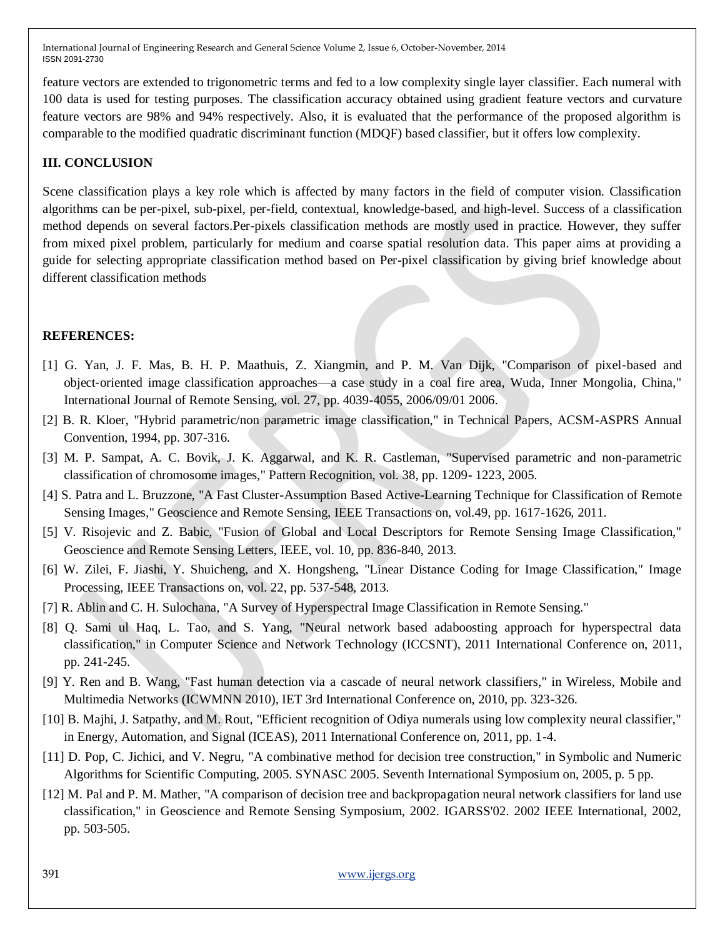feature vectors are extended to trigonometric terms and fed to a low complexity single layer classifier. Each numeral with 100 data is used for testing purposes. The classification accuracy obtained using gradient feature vectors and curvature feature vectors are 98% and 94% respectively. Also, it is evaluated that the performance of the proposed algorithm is comparable to the modified quadratic discriminant function (MDQF) based classifier, but it offers low complexity.

## **III. CONCLUSION**

Scene classification plays a key role which is affected by many factors in the field of computer vision. Classification algorithms can be per-pixel, sub-pixel, per-field, contextual, knowledge-based, and high-level. Success of a classification method depends on several factors.Per-pixels classification methods are mostly used in practice. However, they suffer from mixed pixel problem, particularly for medium and coarse spatial resolution data. This paper aims at providing a guide for selecting appropriate classification method based on Per-pixel classification by giving brief knowledge about different classification methods

#### **REFERENCES:**

- [1] G. Yan, J. F. Mas, B. H. P. Maathuis, Z. Xiangmin, and P. M. Van Dijk, "Comparison of pixel-based and object‐oriented image classification approaches—a case study in a coal fire area, Wuda, Inner Mongolia, China," International Journal of Remote Sensing, vol. 27, pp. 4039-4055, 2006/09/01 2006.
- [2] B. R. Kloer, "Hybrid parametric/non parametric image classification," in Technical Papers, ACSM-ASPRS Annual Convention, 1994, pp. 307-316.
- [3] M. P. Sampat, A. C. Bovik, J. K. Aggarwal, and K. R. Castleman, "Supervised parametric and non-parametric classification of chromosome images," Pattern Recognition, vol. 38, pp. 1209- 1223, 2005.
- [4] S. Patra and L. Bruzzone, "A Fast Cluster-Assumption Based Active-Learning Technique for Classification of Remote Sensing Images," Geoscience and Remote Sensing, IEEE Transactions on, vol.49, pp. 1617-1626, 2011.
- [5] V. Risojevic and Z. Babic, "Fusion of Global and Local Descriptors for Remote Sensing Image Classification," Geoscience and Remote Sensing Letters, IEEE, vol. 10, pp. 836-840, 2013.
- [6] W. Zilei, F. Jiashi, Y. Shuicheng, and X. Hongsheng, "Linear Distance Coding for Image Classification," Image Processing, IEEE Transactions on, vol. 22, pp. 537-548, 2013.
- [7] R. Ablin and C. H. Sulochana, "A Survey of Hyperspectral Image Classification in Remote Sensing."
- [8] Q. Sami ul Haq, L. Tao, and S. Yang, "Neural network based adaboosting approach for hyperspectral data classification," in Computer Science and Network Technology (ICCSNT), 2011 International Conference on, 2011, pp. 241-245.
- [9] Y. Ren and B. Wang, "Fast human detection via a cascade of neural network classifiers," in Wireless, Mobile and Multimedia Networks (ICWMNN 2010), IET 3rd International Conference on, 2010, pp. 323-326.
- [10] B. Majhi, J. Satpathy, and M. Rout, "Efficient recognition of Odiya numerals using low complexity neural classifier," in Energy, Automation, and Signal (ICEAS), 2011 International Conference on, 2011, pp. 1-4.
- [11] D. Pop, C. Jichici, and V. Negru, "A combinative method for decision tree construction," in Symbolic and Numeric Algorithms for Scientific Computing, 2005. SYNASC 2005. Seventh International Symposium on, 2005, p. 5 pp.
- [12] M. Pal and P. M. Mather, "A comparison of decision tree and backpropagation neural network classifiers for land use classification," in Geoscience and Remote Sensing Symposium, 2002. IGARSS'02. 2002 IEEE International, 2002, pp. 503-505.